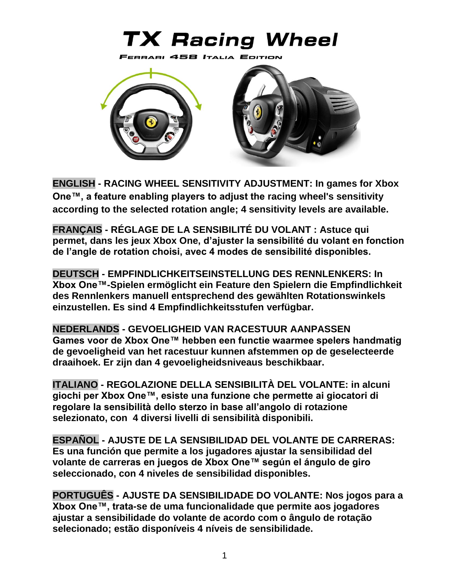# **TX Racing Wheel**



**[ENGLISH](#page-2-0) - RACING WHEEL SENSITIVITY ADJUSTMENT: In games for Xbox One™, a feature enabling players to adjust the racing wheel's sensitivity according to the selected rotation angle; 4 sensitivity levels are available.**

**[FRANÇAIS](#page-4-0) - RÉGLAGE DE LA SENSIBILITÉ DU VOLANT : Astuce qui permet, dans les jeux Xbox One, d'ajuster la sensibilité du volant en fonction de l'angle de rotation choisi, avec 4 modes de sensibilité disponibles.**

**[DEUTSCH](#page-6-0) - EMPFINDLICHKEITSEINSTELLUNG DES RENNLENKERS: In Xbox One™-Spielen ermöglicht ein Feature den Spielern die Empfindlichkeit des Rennlenkers manuell entsprechend des gewählten Rotationswinkels einzustellen. Es sind 4 Empfindlichkeitsstufen verfügbar.**

**[NEDERLANDS](#page-8-0) - GEVOELIGHEID VAN RACESTUUR AANPASSEN Games voor de Xbox One™ hebben een functie waarmee spelers handmatig de gevoeligheid van het racestuur kunnen afstemmen op de geselecteerde draaihoek. Er zijn dan 4 gevoeligheidsniveaus beschikbaar.**

**[ITALIANO](#page-10-0) - REGOLAZIONE DELLA SENSIBILITÀ DEL VOLANTE: in alcuni giochi per Xbox One™, esiste una funzione che permette ai giocatori di regolare la sensibilità dello sterzo in base all'angolo di rotazione selezionato, con 4 diversi livelli di sensibilità disponibili.**

**[ESPAÑOL](#page-12-0) - AJUSTE DE LA SENSIBILIDAD DEL VOLANTE DE CARRERAS: Es una función que permite a los jugadores ajustar la sensibilidad del volante de carreras en juegos de Xbox One™ según el ángulo de giro seleccionado, con 4 niveles de sensibilidad disponibles.**

**[PORTUGUÊS](#page-14-0) - AJUSTE DA SENSIBILIDADE DO VOLANTE: Nos jogos para a Xbox One™, trata-se de uma funcionalidade que permite aos jogadores ajustar a sensibilidade do volante de acordo com o ângulo de rotação selecionado; estão disponíveis 4 níveis de sensibilidade.**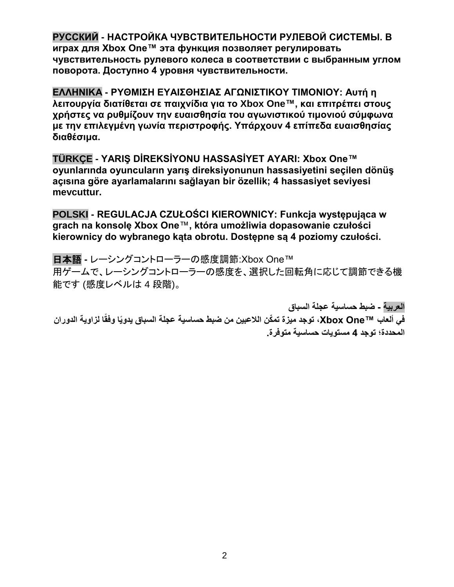**[РУССКИЙ](#page-16-0) - НАСТРОЙКА ЧУВСТВИТЕЛЬНОСТИ РУЛЕВОЙ СИСТЕМЫ. В играх для Xbox One™ эта функция позволяет регулировать чувствительность рулевого колеса в соответствии с выбранным углом поворота. Доступно 4 уровня чувствительности.**

**[ΕΛΛΗΝΙΚΑ](#page-18-0) - ΡΥΘΜΙΣΗ ΕΥΑΙΣΘΗΣΙΑΣ ΑΓΩΝΙΣΤΙΚΟΥ ΤΙΜΟΝΙΟΥ: Αυτή η λειτουργία διατίθεται σε παιχνίδια για το Xbox One™, και επιτρέπει στους χρήστες να ρυθμίζουν την ευαισθησία του αγωνιστικού τιμονιού σύμφωνα με την επιλεγμένη γωνία περιστροφής. Υπάρχουν 4 επίπεδα ευαισθησίας διαθέσιμα.**

**[TÜRKÇE](#page-20-0) - YARIŞ DİREKSİYONU HASSASİYET AYARI: Xbox One™ oyunlarında oyuncuların yarış direksiyonunun hassasiyetini seçilen dönüş açısına göre ayarlamalarını sağlayan bir özellik; 4 hassasiyet seviyesi mevcuttur.**

**[POLSKI](#page-22-0) - REGULACJA CZUŁOŚCI KIEROWNICY: Funkcja występująca w grach na konsolę Xbox One**™**, która umożliwia dopasowanie czułości kierownicy do wybranego kąta obrotu. Dostępne są 4 poziomy czułości.**

[日本語](#page-24-0) **-** レーシングコントローラーの感度調節:Xbox One™ 用ゲームで、レーシングコントローラーの感度を、選択した回転角に応じて調節できる機 能です (感度レベルは 4 段階)。

**[العربية](#page-26-0) - ضبط حساسية عجلة السباق** في ألعاب ™Xbox One، توجد ميزة تمكّن اللاعبين من ضبط حساسية عجلة السباق يدويًا وفقًا لزاوية الدوران **المحددة؛ توجد 4 مستويات حساسية متوفرة.**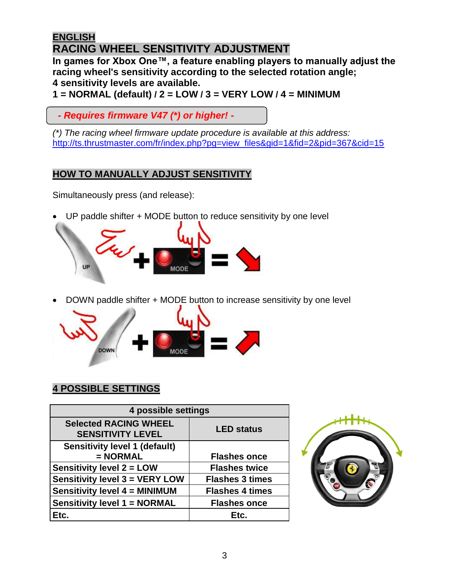# <span id="page-2-0"></span>**ENGLISH RACING WHEEL SENSITIVITY ADJUSTMENT**

**In games for Xbox One™, a feature enabling players to manually adjust the racing wheel's sensitivity according to the selected rotation angle; 4 sensitivity levels are available.**

**1 = NORMAL (default) / 2 = LOW / 3 = VERY LOW / 4 = MINIMUM**

 *- Requires firmware V47 (\*) or higher! -*

*(\*) The racing wheel firmware update procedure is available at this address:* [http://ts.thrustmaster.com/fr/index.php?pg=view\\_files&gid=1&fid=2&pid=367&cid=15](http://ts.thrustmaster.com/fr/index.php?pg=view_files&gid=1&fid=2&pid=367&cid=15)

## **HOW TO MANUALLY ADJUST SENSITIVITY**

Simultaneously press (and release):

UP paddle shifter + MODE button to reduce sensitivity by one level



DOWN paddle shifter + MODE button to increase sensitivity by one level



# **4 POSSIBLE SETTINGS**

| 4 possible settings                                      |                        |
|----------------------------------------------------------|------------------------|
| <b>Selected RACING WHEEL</b><br><b>SENSITIVITY LEVEL</b> | <b>LED status</b>      |
| <b>Sensitivity level 1 (default)</b><br>$= NORMAL$       | <b>Flashes once</b>    |
|                                                          |                        |
| <b>Sensitivity level 2 = LOW</b>                         | <b>Flashes twice</b>   |
| <b>Sensitivity level 3 = VERY LOW</b>                    | <b>Flashes 3 times</b> |
| <b>Sensitivity level 4 = MINIMUM</b>                     | <b>Flashes 4 times</b> |
| <b>Sensitivity level 1 = NORMAL</b>                      | <b>Flashes once</b>    |
| Etc.                                                     | Etc.                   |

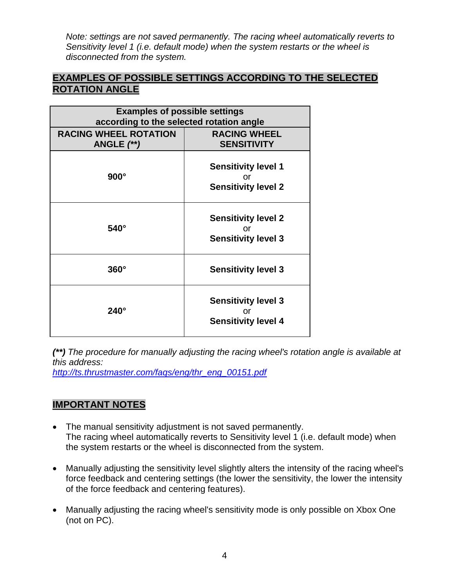*Note: settings are not saved permanently. The racing wheel automatically reverts to Sensitivity level 1 (i.e. default mode) when the system restarts or the wheel is disconnected from the system.*

#### **EXAMPLES OF POSSIBLE SETTINGS ACCORDING TO THE SELECTED ROTATION ANGLE**

| <b>Examples of possible settings</b><br>according to the selected rotation angle |                                                                |  |
|----------------------------------------------------------------------------------|----------------------------------------------------------------|--|
| <b>RACING WHEEL ROTATION</b><br>ANGLE $(**)$                                     | <b>RACING WHEEL</b><br><b>SENSITIVITY</b>                      |  |
| $900^\circ$                                                                      | <b>Sensitivity level 1</b><br>or<br><b>Sensitivity level 2</b> |  |
| $540^\circ$                                                                      | <b>Sensitivity level 2</b><br>or<br><b>Sensitivity level 3</b> |  |
| $360^\circ$                                                                      | <b>Sensitivity level 3</b>                                     |  |
| $240^\circ$                                                                      | <b>Sensitivity level 3</b><br>Ωr<br><b>Sensitivity level 4</b> |  |

*(\*\*) The procedure for manually adjusting the racing wheel's rotation angle is available at this address:*

*[http://ts.thrustmaster.com/faqs/eng/thr\\_eng\\_00151.pdf](http://ts.thrustmaster.com/faqs/eng/thr_eng_00151.pdf)*

### **IMPORTANT NOTES**

- The manual sensitivity adjustment is not saved permanently. The racing wheel automatically reverts to Sensitivity level 1 (i.e. default mode) when the system restarts or the wheel is disconnected from the system.
- Manually adjusting the sensitivity level slightly alters the intensity of the racing wheel's force feedback and centering settings (the lower the sensitivity, the lower the intensity of the force feedback and centering features).
- Manually adjusting the racing wheel's sensitivity mode is only possible on Xbox One (not on PC).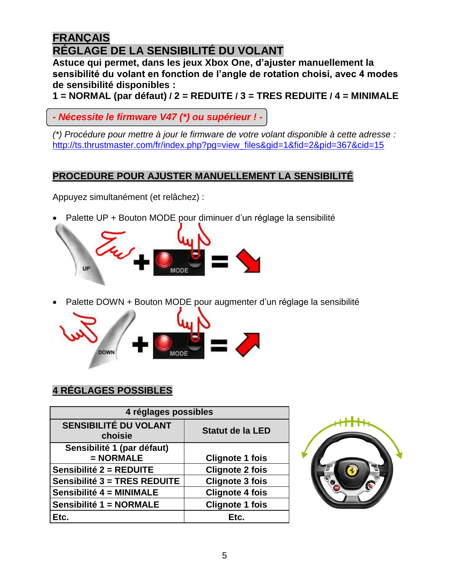# <span id="page-4-0"></span>**FRANÇAIS RÉGLAGE DE LA SENSIBILITÉ DU VOLANT**

**Astuce qui permet, dans les jeux Xbox One, d'ajuster manuellement la sensibilité du volant en fonction de l'angle de rotation choisi, avec 4 modes de sensibilité disponibles :**

**1 = NORMAL (par défaut) / 2 = REDUITE / 3 = TRES REDUITE / 4 = MINIMALE**

*- Nécessite le firmware V47 (\*) ou supérieur ! -*

*(\*) Procédure pour mettre à jour le firmware de votre volant disponible à cette adresse :* [http://ts.thrustmaster.com/fr/index.php?pg=view\\_files&gid=1&fid=2&pid=367&cid=15](http://ts.thrustmaster.com/fr/index.php?pg=view_files&gid=1&fid=2&pid=367&cid=15)

# **PROCEDURE POUR AJUSTER MANUELLEMENT LA SENSIBILITÉ**

Appuyez simultanément (et relâchez) :

Palette UP + Bouton MODE pour diminuer d'un réglage la sensibilité



Palette DOWN + Bouton MODE pour augmenter d'un réglage la sensibilité



# **4 RÉGLAGES POSSIBLES**

| 4 réglages possibles                    |                         |
|-----------------------------------------|-------------------------|
| <b>SENSIBILITÉ DU VOLANT</b><br>choisie | <b>Statut de la LED</b> |
| Sensibilité 1 (par défaut)              |                         |
| $= NORMAL$                              | <b>Clignote 1 fois</b>  |
| Sensibilité 2 = REDUITE                 | <b>Clignote 2 fois</b>  |
| Sensibilité 3 = TRES REDUITE            | <b>Clignote 3 fois</b>  |
| Sensibilité 4 = MINIMALE                | <b>Clignote 4 fois</b>  |
| Sensibilité 1 = NORMALE                 | <b>Clignote 1 fois</b>  |
| Etc.                                    | Etc.                    |

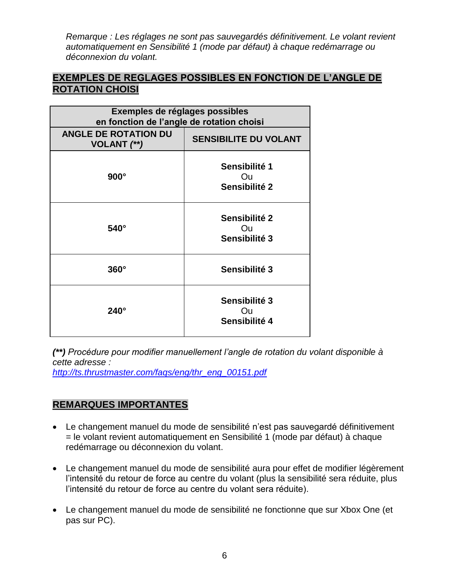*Remarque : Les réglages ne sont pas sauvegardés définitivement. Le volant revient automatiquement en Sensibilité 1 (mode par défaut) à chaque redémarrage ou déconnexion du volant.*

#### **EXEMPLES DE REGLAGES POSSIBLES EN FONCTION DE L'ANGLE DE ROTATION CHOISI**

| Exemples de réglages possibles<br>en fonction de l'angle de rotation choisi |                                             |
|-----------------------------------------------------------------------------|---------------------------------------------|
| <b>ANGLE DE ROTATION DU</b><br><b>VOLANT</b> (**)                           | <b>SENSIBILITE DU VOLANT</b>                |
| $900^\circ$                                                                 | Sensibilité 1<br><b>Ou</b><br>Sensibilité 2 |
| $540^\circ$                                                                 | Sensibilité 2<br>Ou<br>Sensibilité 3        |
| $360^\circ$                                                                 | Sensibilité 3                               |
| $240^\circ$                                                                 | Sensibilité 3<br>Ou<br>Sensibilité 4        |

*(\*\*) Procédure pour modifier manuellement l'angle de rotation du volant disponible à cette adresse :*

*[http://ts.thrustmaster.com/faqs/eng/thr\\_eng\\_00151.pdf](http://ts.thrustmaster.com/faqs/eng/thr_eng_00151.pdf)*

### **REMARQUES IMPORTANTES**

- Le changement manuel du mode de sensibilité n'est pas sauvegardé définitivement = le volant revient automatiquement en Sensibilité 1 (mode par défaut) à chaque redémarrage ou déconnexion du volant.
- Le changement manuel du mode de sensibilité aura pour effet de modifier légèrement l'intensité du retour de force au centre du volant (plus la sensibilité sera réduite, plus l'intensité du retour de force au centre du volant sera réduite).
- Le changement manuel du mode de sensibilité ne fonctionne que sur Xbox One (et pas sur PC).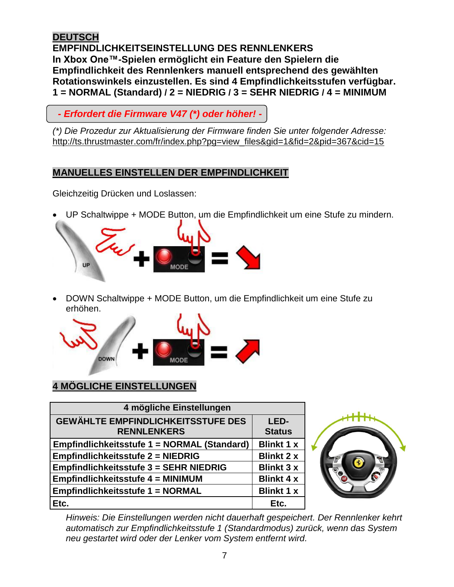#### <span id="page-6-0"></span>**DEUTSCH EMPFINDLICHKEITSEINSTELLUNG DES RENNLENKERS In Xbox One™-Spielen ermöglicht ein Feature den Spielern die Empfindlichkeit des Rennlenkers manuell entsprechend des gewählten Rotationswinkels einzustellen. Es sind 4 Empfindlichkeitsstufen verfügbar. 1 = NORMAL (Standard) / 2 = NIEDRIG / 3 = SEHR NIEDRIG / 4 = MINIMUM**

 *- Erfordert die Firmware V47 (\*) oder höher! -*

*(\*) Die Prozedur zur Aktualisierung der Firmware finden Sie unter folgender Adresse:* [http://ts.thrustmaster.com/fr/index.php?pg=view\\_files&gid=1&fid=2&pid=367&cid=15](http://ts.thrustmaster.com/fr/index.php?pg=view_files&gid=1&fid=2&pid=367&cid=15)

## **MANUELLES EINSTELLEN DER EMPFINDLICHKEIT**

Gleichzeitig Drücken und Loslassen:

UP Schaltwippe + MODE Button, um die Empfindlichkeit um eine Stufe zu mindern.



 DOWN Schaltwippe + MODE Button, um die Empfindlichkeit um eine Stufe zu erhöhen.



# **4 MÖGLICHE EINSTELLUNGEN**

| 4 mögliche Einstellungen                                        |                       |
|-----------------------------------------------------------------|-----------------------|
| <b>GEWÄHLTE EMPFINDLICHKEITSSTUFE DES</b><br><b>RENNLENKERS</b> | LED-<br><b>Status</b> |
| Empfindlichkeitsstufe 1 = NORMAL (Standard)                     | <b>Blinkt 1 x</b>     |
| <b>Empfindlichkeitsstufe 2 = NIEDRIG</b>                        | <b>Blinkt 2 x</b>     |
| <b>Empfindlichkeitsstufe 3 = SEHR NIEDRIG</b>                   | <b>Blinkt 3 x</b>     |
| <b>Empfindlichkeitsstufe 4 = MINIMUM</b>                        | <b>Blinkt 4 x</b>     |
| <b>Empfindlichkeitsstufe 1 = NORMAL</b>                         | <b>Blinkt 1 x</b>     |
| Etc.                                                            | Etc.                  |



*Hinweis: Die Einstellungen werden nicht dauerhaft gespeichert. Der Rennlenker kehrt automatisch zur Empfindlichkeitsstufe 1 (Standardmodus) zurück, wenn das System neu gestartet wird oder der Lenker vom System entfernt wird.*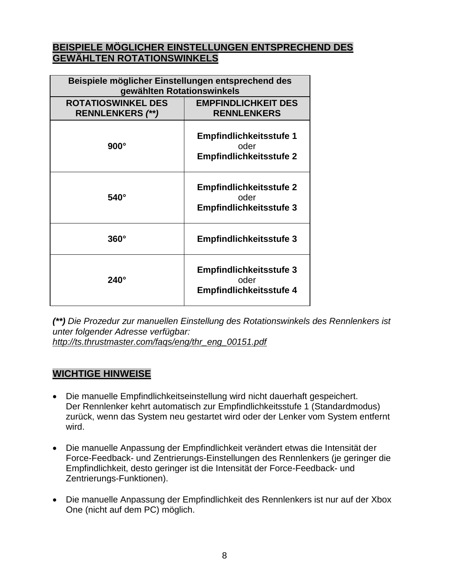#### **BEISPIELE MÖGLICHER EINSTELLUNGEN ENTSPRECHEND DES GEWÄHLTEN ROTATIONSWINKELS**

| Beispiele möglicher Einstellungen entsprechend des<br>gewählten Rotationswinkels |                                                                          |
|----------------------------------------------------------------------------------|--------------------------------------------------------------------------|
| <b>ROTATIOSWINKEL DES</b><br><b>RENNLENKERS (**)</b>                             | <b>EMPFINDLICHKEIT DES</b><br><b>RENNLENKERS</b>                         |
| $900^\circ$                                                                      | <b>Empfindlichkeitsstufe 1</b><br>oder<br><b>Empfindlichkeitsstufe 2</b> |
| $540^\circ$                                                                      | <b>Empfindlichkeitsstufe 2</b><br>oder<br><b>Empfindlichkeitsstufe 3</b> |
| $360^\circ$                                                                      | <b>Empfindlichkeitsstufe 3</b>                                           |
| $240^\circ$                                                                      | <b>Empfindlichkeitsstufe 3</b><br>oder<br><b>Empfindlichkeitsstufe 4</b> |

*(\*\*) Die Prozedur zur manuellen Einstellung des Rotationswinkels des Rennlenkers ist unter folgender Adresse verfügbar: [http://ts.thrustmaster.com/faqs/eng/thr\\_eng\\_00151.pdf](http://ts.thrustmaster.com/faqs/eng/thr_eng_00151.pdf)*

#### **WICHTIGE HINWEISE**

- Die manuelle Empfindlichkeitseinstellung wird nicht dauerhaft gespeichert. Der Rennlenker kehrt automatisch zur Empfindlichkeitsstufe 1 (Standardmodus) zurück, wenn das System neu gestartet wird oder der Lenker vom System entfernt wird.
- Die manuelle Anpassung der Empfindlichkeit verändert etwas die Intensität der Force-Feedback- und Zentrierungs-Einstellungen des Rennlenkers (je geringer die Empfindlichkeit, desto geringer ist die Intensität der Force-Feedback- und Zentrierungs-Funktionen).
- Die manuelle Anpassung der Empfindlichkeit des Rennlenkers ist nur auf der Xbox One (nicht auf dem PC) möglich.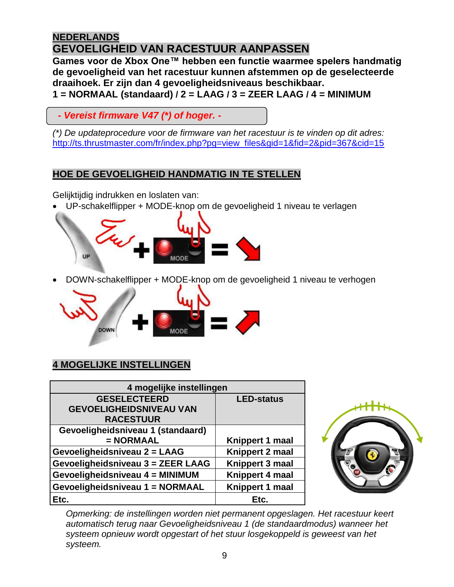# <span id="page-8-0"></span>**NEDERLANDS GEVOELIGHEID VAN RACESTUUR AANPASSEN**

**Games voor de Xbox One™ hebben een functie waarmee spelers handmatig de gevoeligheid van het racestuur kunnen afstemmen op de geselecteerde draaihoek. Er zijn dan 4 gevoeligheidsniveaus beschikbaar. 1 = NORMAAL (standaard) / 2 = LAAG / 3 = ZEER LAAG / 4 = MINIMUM**

 *- Vereist firmware V47 (\*) of hoger. -*

*(\*) De updateprocedure voor de firmware van het racestuur is te vinden op dit adres:* [http://ts.thrustmaster.com/fr/index.php?pg=view\\_files&gid=1&fid=2&pid=367&cid=15](http://ts.thrustmaster.com/fr/index.php?pg=view_files&gid=1&fid=2&pid=367&cid=15)

#### **HOE DE GEVOELIGHEID HANDMATIG IN TE STELLEN**

Gelijktijdig indrukken en loslaten van:

UP-schakelflipper + MODE-knop om de gevoeligheid 1 niveau te verlagen



DOWN-schakelflipper + MODE-knop om de gevoeligheid 1 niveau te verhogen



# **4 MOGELIJKE INSTELLINGEN**

| 4 mogelijke instellingen          |                   |  |
|-----------------------------------|-------------------|--|
| <b>GESELECTEERD</b>               | <b>LED-status</b> |  |
| <b>GEVOELIGHEIDSNIVEAU VAN</b>    |                   |  |
| <b>RACESTUUR</b>                  |                   |  |
| Gevoeligheidsniveau 1 (standaard) |                   |  |
| $= NORMAL$                        | Knippert 1 maal   |  |
| Gevoeligheidsniveau 2 = LAAG      | Knippert 2 maal   |  |
| Gevoeligheidsniveau 3 = ZEER LAAG | Knippert 3 maal   |  |
| Gevoeligheidsniveau 4 = MINIMUM   | Knippert 4 maal   |  |
| Gevoeligheidsniveau 1 = NORMAAL   | Knippert 1 maal   |  |
| Etc.                              | Etc.              |  |



*Opmerking: de instellingen worden niet permanent opgeslagen. Het racestuur keert automatisch terug naar Gevoeligheidsniveau 1 (de standaardmodus) wanneer het systeem opnieuw wordt opgestart of het stuur losgekoppeld is geweest van het systeem.*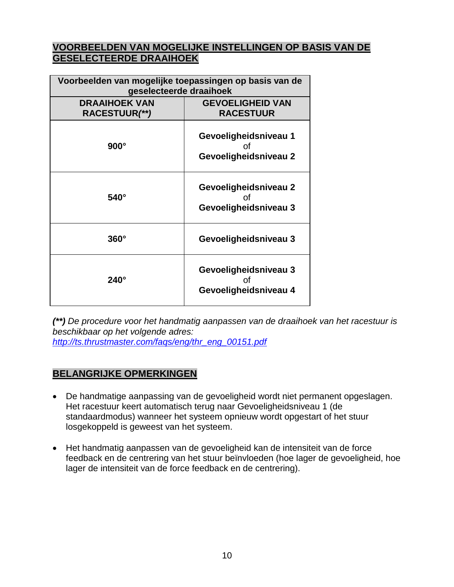#### **VOORBEELDEN VAN MOGELIJKE INSTELLINGEN OP BASIS VAN DE GESELECTEERDE DRAAIHOEK**

| Voorbeelden van mogelijke toepassingen op basis van de<br>geselecteerde draaihoek |                                                      |
|-----------------------------------------------------------------------------------|------------------------------------------------------|
| <b>DRAAIHOEK VAN</b>                                                              | <b>GEVOELIGHEID VAN</b>                              |
| RACESTUUR(**)                                                                     | <b>RACESTUUR</b>                                     |
| $900^\circ$                                                                       | Gevoeligheidsniveau 1<br>Ωf<br>Gevoeligheidsniveau 2 |
| $540^\circ$                                                                       | Gevoeligheidsniveau 2<br>Ωf<br>Gevoeligheidsniveau 3 |
| $360^\circ$                                                                       | Gevoeligheidsniveau 3                                |
| $240^\circ$                                                                       | Gevoeligheidsniveau 3<br>Ωf<br>Gevoeligheidsniveau 4 |

*(\*\*) De procedure voor het handmatig aanpassen van de draaihoek van het racestuur is beschikbaar op het volgende adres: [http://ts.thrustmaster.com/faqs/eng/thr\\_eng\\_00151.pdf](http://ts.thrustmaster.com/faqs/eng/thr_eng_00151.pdf)*

#### **BELANGRIJKE OPMERKINGEN**

- De handmatige aanpassing van de gevoeligheid wordt niet permanent opgeslagen. Het racestuur keert automatisch terug naar Gevoeligheidsniveau 1 (de standaardmodus) wanneer het systeem opnieuw wordt opgestart of het stuur losgekoppeld is geweest van het systeem.
- Het handmatig aanpassen van de gevoeligheid kan de intensiteit van de force feedback en de centrering van het stuur beïnvloeden (hoe lager de gevoeligheid, hoe lager de intensiteit van de force feedback en de centrering).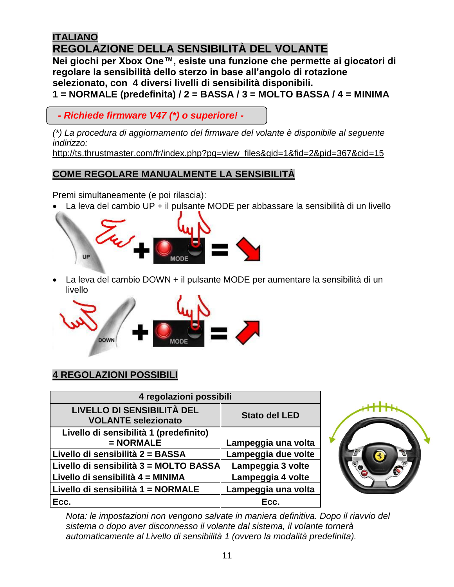# <span id="page-10-0"></span>**ITALIANO REGOLAZIONE DELLA SENSIBILITÀ DEL VOLANTE**

**Nei giochi per Xbox One™, esiste una funzione che permette ai giocatori di regolare la sensibilità dello sterzo in base all'angolo di rotazione selezionato, con 4 diversi livelli di sensibilità disponibili. 1 = NORMALE (predefinita) / 2 = BASSA / 3 = MOLTO BASSA / 4 = MINIMA**

 *- Richiede firmware V47 (\*) o superiore! -*

*(\*) La procedura di aggiornamento del firmware del volante è disponibile al seguente indirizzo:*

[http://ts.thrustmaster.com/fr/index.php?pg=view\\_files&gid=1&fid=2&pid=367&cid=15](http://ts.thrustmaster.com/fr/index.php?pg=view_files&gid=1&fid=2&pid=367&cid=15)

## **COME REGOLARE MANUALMENTE LA SENSIBILITÀ**

Premi simultaneamente (e poi rilascia):

La leva del cambio UP + il pulsante MODE per abbassare la sensibilità di un livello



 La leva del cambio DOWN + il pulsante MODE per aumentare la sensibilità di un livello



# **4 REGOLAZIONI POSSIBILI**

| 4 regolazioni possibili                                  |                      |
|----------------------------------------------------------|----------------------|
| LIVELLO DI SENSIBILITÀ DEL<br><b>VOLANTE selezionato</b> | <b>Stato del LED</b> |
| Livello di sensibilità 1 (predefinito)                   |                      |
| $= NORMALE$                                              | Lampeggia una volta  |
| Livello di sensibilità 2 = BASSA                         | Lampeggia due volte  |
| Livello di sensibilità 3 = MOLTO BASSA                   | Lampeggia 3 volte    |
| Livello di sensibilità 4 = MINIMA                        | Lampeggia 4 volte    |
| Livello di sensibilità 1 = NORMALE                       | Lampeggia una volta  |
| Ecc.                                                     | Ecc.                 |



*Nota: le impostazioni non vengono salvate in maniera definitiva. Dopo il riavvio del sistema o dopo aver disconnesso il volante dal sistema, il volante tornerà automaticamente al Livello di sensibilità 1 (ovvero la modalità predefinita).*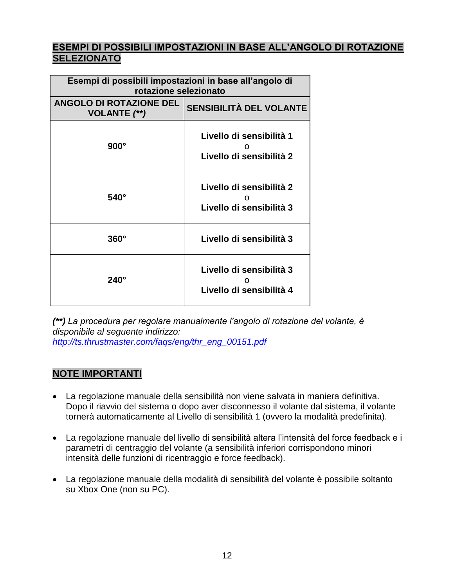#### **ESEMPI DI POSSIBILI IMPOSTAZIONI IN BASE ALL'ANGOLO DI ROTAZIONE SELEZIONATO**

| Esempi di possibili impostazioni in base all'angolo di<br>rotazione selezionato |                                                           |
|---------------------------------------------------------------------------------|-----------------------------------------------------------|
| <b>ANGOLO DI ROTAZIONE DEL</b><br><b>VOLANTE</b> (**)                           | SENSIBILITÀ DEL VOLANTE                                   |
| $900^\circ$                                                                     | Livello di sensibilità 1<br>Livello di sensibilità 2      |
| $540^\circ$                                                                     | Livello di sensibilità 2<br>Ω<br>Livello di sensibilità 3 |
| $360^\circ$                                                                     | Livello di sensibilità 3                                  |
| $240^\circ$                                                                     | Livello di sensibilità 3<br>Livello di sensibilità 4      |

*(\*\*) La procedura per regolare manualmente l'angolo di rotazione del volante, è disponibile al seguente indirizzo: [http://ts.thrustmaster.com/faqs/eng/thr\\_eng\\_00151.pdf](http://ts.thrustmaster.com/faqs/eng/thr_eng_00151.pdf)*

#### **NOTE IMPORTANTI**

- La regolazione manuale della sensibilità non viene salvata in maniera definitiva. Dopo il riavvio del sistema o dopo aver disconnesso il volante dal sistema, il volante tornerà automaticamente al Livello di sensibilità 1 (ovvero la modalità predefinita).
- La regolazione manuale del livello di sensibilità altera l'intensità del force feedback e i parametri di centraggio del volante (a sensibilità inferiori corrispondono minori intensità delle funzioni di ricentraggio e force feedback).
- La regolazione manuale della modalità di sensibilità del volante è possibile soltanto su Xbox One (non su PC).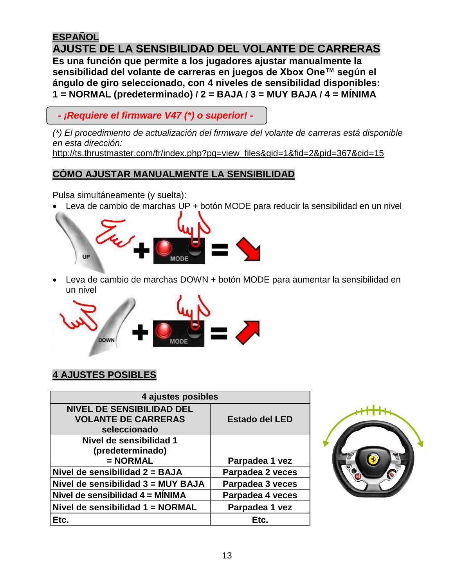# <span id="page-12-0"></span>**ESPAÑOL AJUSTE DE LA SENSIBILIDAD DEL VOLANTE DE CARRERAS**

**Es una función que permite a los jugadores ajustar manualmente la sensibilidad del volante de carreras en juegos de Xbox One™ según el ángulo de giro seleccionado, con 4 niveles de sensibilidad disponibles: 1 = NORMAL (predeterminado) / 2 = BAJA / 3 = MUY BAJA / 4 = MÍNIMA**

 *- ¡Requiere el firmware V47 (\*) o superior! -*

*(\*) El procedimiento de actualización del firmware del volante de carreras está disponible en esta dirección:*

[http://ts.thrustmaster.com/fr/index.php?pg=view\\_files&gid=1&fid=2&pid=367&cid=15](http://ts.thrustmaster.com/fr/index.php?pg=view_files&gid=1&fid=2&pid=367&cid=15)

# **COMO AJUSTAR MANUALMENTE LA SENSIBILIDAD**

Pulsa simultáneamente (y suelta):

Leva de cambio de marchas UP + botón MODE para reducir la sensibilidad en un nivel



 Leva de cambio de marchas DOWN + botón MODE para aumentar la sensibilidad en un nivel



# **4 AJUSTES POSIBLES**

| 4 ajustes posibles                 |                  |
|------------------------------------|------------------|
| <b>NIVEL DE SENSIBILIDAD DEL</b>   |                  |
| <b>VOLANTE DE CARRERAS</b>         | Estado del LED   |
| seleccionado                       |                  |
| Nivel de sensibilidad 1            |                  |
| (predeterminado)                   |                  |
| $= NORMAL$                         | Parpadea 1 vez   |
| Nivel de sensibilidad $2 = BAJA$   | Parpadea 2 veces |
| Nivel de sensibilidad 3 = MUY BAJA | Parpadea 3 veces |
| Nivel de sensibilidad 4 = MÍNIMA   | Parpadea 4 veces |
| Nivel de sensibilidad 1 = NORMAL   | Parpadea 1 vez   |
| Etc.                               | Etc.             |

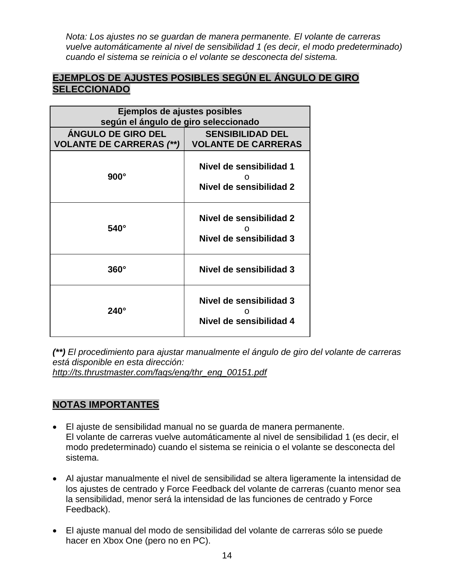*Nota: Los ajustes no se guardan de manera permanente. El volante de carreras vuelve automáticamente al nivel de sensibilidad 1 (es decir, el modo predeterminado) cuando el sistema se reinicia o el volante se desconecta del sistema.*

#### **EJEMPLOS DE AJUSTES POSIBLES SEGÚN EL ÁNGULO DE GIRO SELECCIONADO**

| Ejemplos de ajustes posibles<br>según el ángulo de giro seleccionado |                                                       |
|----------------------------------------------------------------------|-------------------------------------------------------|
| <b>ANGULO DE GIRO DEL</b><br><b>VOLANTE DE CARRERAS (**)</b>         | <b>SENSIBILIDAD DEL</b><br><b>VOLANTE DE CARRERAS</b> |
| $900^\circ$                                                          | Nivel de sensibilidad 1<br>Nivel de sensibilidad 2    |
| $540^\circ$                                                          | Nivel de sensibilidad 2<br>Nivel de sensibilidad 3    |
| $360^\circ$                                                          | Nivel de sensibilidad 3                               |
| $240^\circ$                                                          | Nivel de sensibilidad 3<br>Nivel de sensibilidad 4    |

*(\*\*) El procedimiento para ajustar manualmente el ángulo de giro del volante de carreras está disponible en esta dirección: [http://ts.thrustmaster.com/faqs/eng/thr\\_eng\\_00151.pdf](http://ts.thrustmaster.com/faqs/eng/thr_eng_00151.pdf)*

#### **NOTAS IMPORTANTES**

- El ajuste de sensibilidad manual no se guarda de manera permanente. El volante de carreras vuelve automáticamente al nivel de sensibilidad 1 (es decir, el modo predeterminado) cuando el sistema se reinicia o el volante se desconecta del sistema.
- Al ajustar manualmente el nivel de sensibilidad se altera ligeramente la intensidad de los ajustes de centrado y Force Feedback del volante de carreras (cuanto menor sea la sensibilidad, menor será la intensidad de las funciones de centrado y Force Feedback).
- El ajuste manual del modo de sensibilidad del volante de carreras sólo se puede hacer en Xbox One (pero no en PC).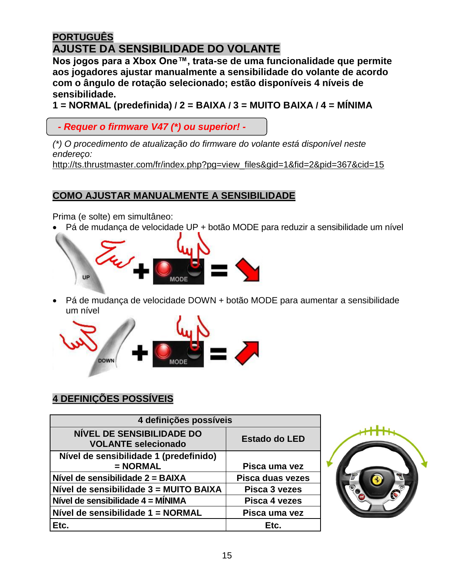# <span id="page-14-0"></span>**PORTUGUÊS AJUSTE DA SENSIBILIDADE DO VOLANTE**

**Nos jogos para a Xbox One™, trata-se de uma funcionalidade que permite aos jogadores ajustar manualmente a sensibilidade do volante de acordo com o ângulo de rotação selecionado; estão disponíveis 4 níveis de sensibilidade.**

**1 = NORMAL (predefinida) / 2 = BAIXA / 3 = MUITO BAIXA / 4 = MÍNIMA**

 *- Requer o firmware V47 (\*) ou superior! -*

*(\*) O procedimento de atualização do firmware do volante está disponível neste endereço:* http://ts.thrustmaster.com/fr/index.php?pg=view\_files&gid=1&fid=2&pid=367&cid=15

# **COMO AJUSTAR MANUALMENTE A SENSIBILIDADE**

Prima (e solte) em simultâneo:

Pá de mudança de velocidade UP + botão MODE para reduzir a sensibilidade um nível



 Pá de mudança de velocidade DOWN + botão MODE para aumentar a sensibilidade um nível



# **4 DEFINIÇÕES POSSÍVEIS**

| 4 definições possíveis                                         |                      |
|----------------------------------------------------------------|----------------------|
| <b>NÍVEL DE SENSIBILIDADE DO</b><br><b>VOLANTE selecionado</b> | <b>Estado do LED</b> |
| Nível de sensibilidade 1 (predefinido)                         |                      |
| $= NORMAL$                                                     | Pisca uma vez        |
| Nível de sensibilidade 2 = BAIXA                               | Pisca duas vezes     |
| Nível de sensibilidade 3 = MUITO BAIXA                         | Pisca 3 vezes        |
| Nível de sensibilidade 4 = MÍNIMA                              | Pisca 4 vezes        |
| Nível de sensibilidade 1 = NORMAL                              | Pisca uma vez        |
| Etc.                                                           | Etc.                 |

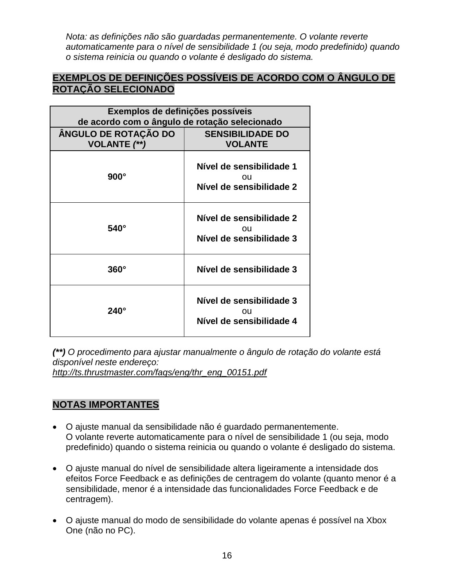*Nota: as definições não são guardadas permanentemente. O volante reverte automaticamente para o nível de sensibilidade 1 (ou seja, modo predefinido) quando o sistema reinicia ou quando o volante é desligado do sistema.*

#### **EXEMPLOS DE DEFINIÇÕES POSSÍVEIS DE ACORDO COM O ÂNGULO DE ROTAÇÃO SELECIONADO**

| Exemplos de definições possíveis<br>de acordo com o ângulo de rotação selecionado |                                                            |
|-----------------------------------------------------------------------------------|------------------------------------------------------------|
| ÂNGULO DE ROTAÇÃO DO<br><b>VOLANTE</b> (**)                                       | <b>SENSIBILIDADE DO</b><br><b>VOLANTE</b>                  |
| $900^\circ$                                                                       | Nível de sensibilidade 1<br>ΩU<br>Nível de sensibilidade 2 |
| $540^\circ$                                                                       | Nível de sensibilidade 2<br>ou<br>Nível de sensibilidade 3 |
| $360^\circ$                                                                       | Nível de sensibilidade 3                                   |
| $240^\circ$                                                                       | Nível de sensibilidade 3<br>ΟU<br>Nível de sensibilidade 4 |

*(\*\*) O procedimento para ajustar manualmente o ângulo de rotação do volante está disponível neste endereço:*

*http://ts.thrustmaster.com/faqs/eng/thr\_eng\_00151.pdf*

# **NOTAS IMPORTANTES**

- O ajuste manual da sensibilidade não é guardado permanentemente. O volante reverte automaticamente para o nível de sensibilidade 1 (ou seja, modo predefinido) quando o sistema reinicia ou quando o volante é desligado do sistema.
- O ajuste manual do nível de sensibilidade altera ligeiramente a intensidade dos efeitos Force Feedback e as definições de centragem do volante (quanto menor é a sensibilidade, menor é a intensidade das funcionalidades Force Feedback e de centragem).
- O ajuste manual do modo de sensibilidade do volante apenas é possível na Xbox One (não no PC).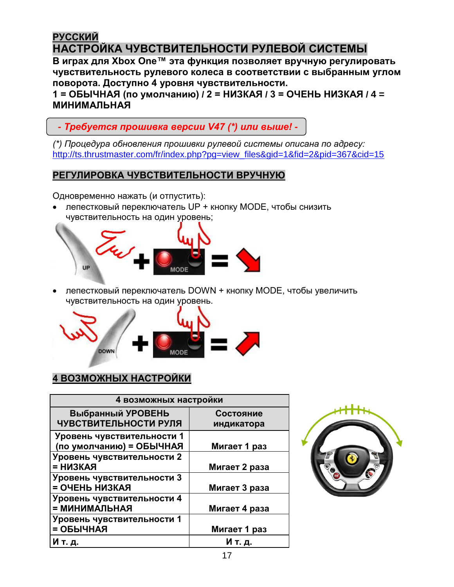# <span id="page-16-0"></span>**РУССКИЙ НАСТРОЙКА ЧУВСТВИТЕЛЬНОСТИ РУЛЕВОЙ СИСТЕМЫ**

**В играх для Xbox One™ эта функция позволяет вручную регулировать чувствительность рулевого колеса в соответствии с выбранным углом поворота. Доступно 4 уровня чувствительности.**

**1 = ОБЫЧНАЯ (по умолчанию) / 2 = НИЗКАЯ / 3 = ОЧЕНЬ НИЗКАЯ / 4 = МИНИМАЛЬНАЯ**

 *- Требуется прошивка версии V47 (\*) или выше! -*

*(\*) Процедура обновления прошивки рулевой системы описана по адресу:* [http://ts.thrustmaster.com/fr/index.php?pg=view\\_files&gid=1&fid=2&pid=367&cid=15](http://ts.thrustmaster.com/fr/index.php?pg=view_files&gid=1&fid=2&pid=367&cid=15)

# **РЕГУЛИРОВКА ЧУВСТВИТЕЛЬНОСТИ ВРУЧНУЮ**

Одновременно нажать (и отпустить):

 лепестковый переключатель UP + кнопку MODE, чтобы снизить чувствительность на один уровень;



 лепестковый переключатель DOWN + кнопку MODE, чтобы увеличить чувствительность на один уровень.



# **4 ВОЗМОЖНЫХ НАСТРОЙКИ**

| 4 возможных настройки      |               |
|----------------------------|---------------|
| Выбранный УРОВЕНЬ          | Состояние     |
| ЧУВСТВИТЕЛЬНОСТИ РУЛЯ      | индикатора    |
| Уровень чувствительности 1 |               |
| (по умолчанию) = ОБЫЧНАЯ   | Мигает 1 раз  |
| Уровень чувствительности 2 |               |
| = НИЗКАЯ                   | Мигает 2 раза |
| Уровень чувствительности 3 |               |
| = ОЧЕНЬ НИЗКАЯ             | Мигает 3 раза |
| Уровень чувствительности 4 |               |
| ВАНАПАММНИМ =              | Мигает 4 раза |
| Уровень чувствительности 1 |               |
| = ОБЫЧНАЯ                  | Мигает 1 раз  |
| И т. д.                    | И т. д.       |

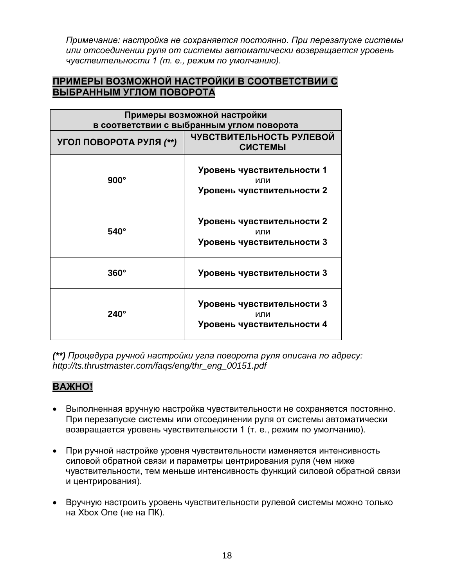*Примечание: настройка не сохраняется постоянно. При перезапуске системы или отсоединении руля от системы автоматически возвращается уровень чувствительности 1 (т. е., режим по умолчанию).*

#### **ПРИМЕРЫ ВОЗМОЖНОЙ НАСТРОЙКИ В СООТВЕТСТВИИ С ВЫБРАННЫМ УГЛОМ ПОВОРОТА**

| Примеры возможной настройки<br>в соответствии с выбранным углом поворота |                                                                 |
|--------------------------------------------------------------------------|-----------------------------------------------------------------|
| УГОЛ ПОВОРОТА РУЛЯ (**)                                                  | ЧУВСТВИТЕЛЬНОСТЬ РУЛЕВОЙ<br><b>СИСТЕМЫ</b>                      |
| $900^\circ$                                                              | Уровень чувствительности 1<br>ипи<br>Уровень чувствительности 2 |
| $540^\circ$                                                              | Уровень чувствительности 2<br>или<br>Уровень чувствительности 3 |
| $360^\circ$                                                              | Уровень чувствительности 3                                      |
| $240^\circ$                                                              | Уровень чувствительности 3<br>или<br>Уровень чувствительности 4 |

*(\*\*) Процедура ручной настройки угла поворота руля описана по адресу: [http://ts.thrustmaster.com/faqs/eng/thr\\_eng\\_00151.pdf](http://ts.thrustmaster.com/faqs/eng/thr_eng_00151.pdf)*

#### **ВАЖНО!**

- Выполненная вручную настройка чувствительности не сохраняется постоянно. При перезапуске системы или отсоединении руля от системы автоматически возвращается уровень чувствительности 1 (т. е., режим по умолчанию).
- При ручной настройке уровня чувствительности изменяется интенсивность силовой обратной связи и параметры центрирования руля (чем ниже чувствительности, тем меньше интенсивность функций силовой обратной связи и центрирования).
- Вручную настроить уровень чувствительности рулевой системы можно только на Xbox One (не на ПК).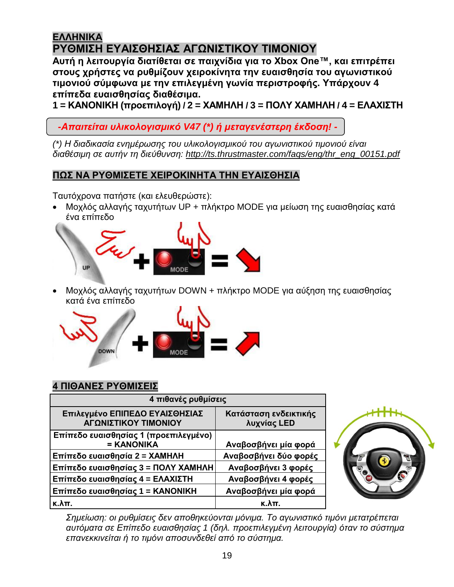# <span id="page-18-0"></span>**ΕΛΛΗΝΙΚΑ ΡΥΘΜΙΣΗ ΕΥΑΙΣΘΗΣΙΑΣ ΑΓΩΝΙΣΤΙΚΟΥ ΤΙΜΟΝΙΟΥ**

**Αυτή η λειτουργία διατίθεται σε παιχνίδια για το Xbox One™, και επιτρέπει στους χρήστες να ρυθμίζουν χειροκίνητα την ευαισθησία του αγωνιστικού τιμονιού σύμφωνα με την επιλεγμένη γωνία περιστροφής. Υπάρχουν 4 επίπεδα ευαισθησίας διαθέσιμα.**

**1 = ΚΑΝΟΝΙΚΗ (προεπιλογή) / 2 = ΧΑΜΗΛΗ / 3 = ΠΟΛΥ ΧΑΜΗΛΗ / 4 = ΕΛΑΧΙΣΤΗ**

 *-Απαιτείται υλικολογισμικό V47 (\*) ή μεταγενέστερη έκδοση! -*

*(\*) Η διαδικασία ενημέρωσης του υλικολογισμικού του αγωνιστικού τιμονιού είναι διαθέσιμη σε αυτήν τη διεύθυνση: [http://ts.thrustmaster.com/faqs/eng/thr\\_eng\\_00151.pdf](http://ts.thrustmaster.com/faqs/eng/thr_eng_00151.pdf)*

# **ΠΩΣ ΝΑ ΡΥΘΜΙΣΕΤΕ ΧΕΙΡΟΚΙΝΗΤΑ ΤΗΝ ΕΥΑΙΣΘΗΣΙΑ**

Ταυτόχρονα πατήστε (και ελευθερώστε):

 Μοχλός αλλαγής ταχυτήτων UP + πλήκτρο MODE για μείωση της ευαισθησίας κατά ένα επίπεδο



 Μοχλός αλλαγής ταχυτήτων DOWN + πλήκτρο MODE για αύξηση της ευαισθησίας κατά ένα επίπεδο



# **4 ΠΙΘΑΝΕΣ ΡΥΘΜΙΣΕΙΣ**

| 4 πιθανές ρυθμίσεις                                    |                                      |
|--------------------------------------------------------|--------------------------------------|
| Επιλεγμένο ΕΠΙΠΕΔΟ ΕΥΑΙΣΘΗΣΙΑΣ<br>ΑΓΩΝΙΣΤΙΚΟΥ ΤΙΜΟΝΙΟΥ | Κατάσταση ενδεικτικής<br>λυχνίας LED |
| Επίπεδο ευαισθησίας 1 (προεπιλεγμένο)<br>= KANONIKA    | Αναβοσβήνει μία φορά                 |
| Επίπεδο ευαισθησία 2 = ΧΑΜΗΛΗ                          | Αναβοσβήνει δύο φορές                |
| Επίπεδο ευαισθησίας 3 = ΠΟΛΥ ΧΑΜΗΛΗ                    | Αναβοσβήνει 3 φορές                  |
| Επίπεδο ευαισθησίας 4 = ΕΛΑΧΙΣΤΗ                       | Αναβοσβήνει 4 φορές                  |
| Επίπεδο ευαισθησίας 1 = ΚΑΝΟΝΙΚΗ                       | Αναβοσβήνει μία φορά                 |
| к.λπ.                                                  | $\kappa$ . $\lambda$ TT.             |



*Σημείωση: οι ρυθμίσεις δεν αποθηκεύονται μόνιμα. Το αγωνιστικό τιμόνι μετατρέπεται αυτόματα σε Επίπεδο ευαισθησίας 1 (δηλ. προεπιλεγμένη λειτουργία) όταν το σύστημα επανεκκινείται ή το τιμόνι αποσυνδεθεί από το σύστημα.*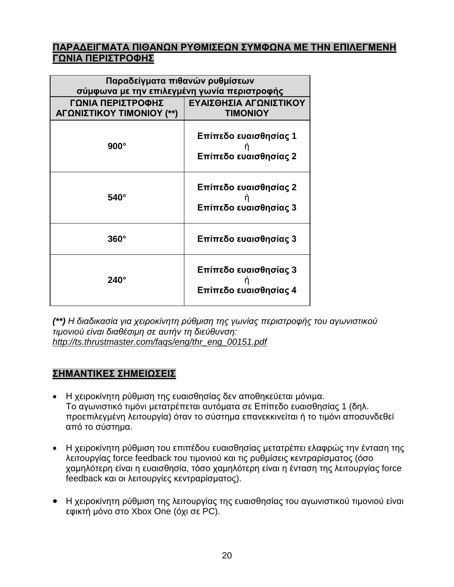#### **ΠΑΡΑΔΕΙΓΜΑΤΑ ΠΙΘΑΝΩΝ ΡΥΘΜΙΣΕΩΝ ΣΥΜΦΩΝΑ ΜΕ ΤΗΝ ΕΠΙΛΕΓΜΕΝΗ ΓΩΝΙΑ ΠΕΡΙΣΤΡΟΦΗΣ**

| Παραδείγματα πιθανών ρυθμίσεων<br>σύμφωνα με την επιλεγμένη γωνία περιστροφής |                                                |  |
|-------------------------------------------------------------------------------|------------------------------------------------|--|
| ΓΩΝΙΑ ΠΕΡΙΣΤΡΟΦΗΣ<br>ΑΓΩΝΙΣΤΙΚΟΥ ΤΙΜΟΝΙΟΥ (**)                                | ΕΥΑΙΣΘΗΣΙΑ ΑΓΩΝΙΣΤΙΚΟΥ<br><b>TIMONIOY</b>      |  |
| $900^\circ$                                                                   | Επίπεδο ευαισθησίας 1<br>Επίπεδο ευαισθησίας 2 |  |
| $540^\circ$                                                                   | Επίπεδο ευαισθησίας 2<br>Επίπεδο ευαισθησίας 3 |  |
| $360^\circ$                                                                   | Επίπεδο ευαισθησίας 3                          |  |
| 240°                                                                          | Επίπεδο ευαισθησίας 3<br>Επίπεδο ευαισθησίας 4 |  |

*(\*\*) Η διαδικασία για χειροκίνητη ρύθμιση της γωνίας περιστροφής του αγωνιστικού τιμονιού είναι διαθέσιμη σε αυτήν τη διεύθυνση: [http://ts.thrustmaster.com/faqs/eng/thr\\_eng\\_00151.pdf](http://ts.thrustmaster.com/faqs/eng/thr_eng_00151.pdf)*

#### **ΣΗΜΑΝΤΙΚΕΣ ΣΗΜΕΙΩΣΕΙΣ**

- Η χειροκίνητη ρύθμιση της ευαισθησίας δεν αποθηκεύεται μόνιμα. Το αγωνιστικό τιμόνι μετατρέπεται αυτόματα σε Επίπεδο ευαισθησίας 1 (δηλ. προεπιλεγμένη λειτουργία) όταν το σύστημα επανεκκινείται ή το τιμόνι αποσυνδεθεί από το σύστημα.
- Η χειροκίνητη ρύθμιση του επιπέδου ευαισθησίας μετατρέπει ελαφρώς την ένταση της λειτουργίας force feedback του τιμονιού και τις ρυθμίσεις κεντραρίσματος (όσο χαμηλότερη είναι η ευαισθησία, τόσο χαμηλότερη είναι η ένταση της λειτουργίας force feedback και οι λειτουργίες κεντραρίσματος).
- Η χειροκίνητη ρύθμιση της λειτουργίας της ευαισθησίας του αγωνιστικού τιμονιού είναι εφικτή μόνο στο Xbox One (όχι σε PC).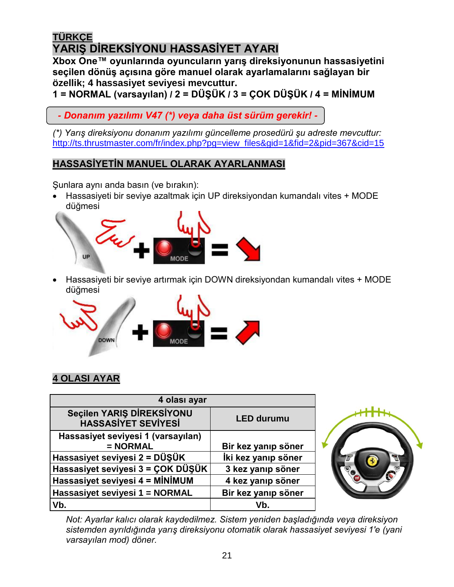# <span id="page-20-0"></span>**TÜRKÇE YARIŞ DİREKSİYONU HASSASİYET AYARI**

**Xbox One™ oyunlarında oyuncuların yarış direksiyonunun hassasiyetini seçilen dönüş açısına göre manuel olarak ayarlamalarını sağlayan bir özellik; 4 hassasiyet seviyesi mevcuttur.**

**1 = NORMAL (varsayılan) / 2 = DÜŞÜK / 3 = ÇOK DÜŞÜK / 4 = MİNİMUM**

 *- Donanım yazılımı V47 (\*) veya daha üst sürüm gerekir! -*

*(\*) Yarış direksiyonu donanım yazılımı güncelleme prosedürü şu adreste mevcuttur:* [http://ts.thrustmaster.com/fr/index.php?pg=view\\_files&gid=1&fid=2&pid=367&cid=15](http://ts.thrustmaster.com/fr/index.php?pg=view_files&gid=1&fid=2&pid=367&cid=15)

# **HASSASİYETİN MANUEL OLARAK AYARLANMASI**

Şunlara aynı anda basın (ve bırakın):

 Hassasiyeti bir seviye azaltmak için UP direksiyondan kumandalı vites + MODE düğmesi



 Hassasiyeti bir seviye artırmak için DOWN direksiyondan kumandalı vites + MODE düğmesi



# **4 OLASI AYAR**

| 4 olası ayar                                            |                     |
|---------------------------------------------------------|---------------------|
| Seçilen YARIŞ DİREKSİYONU<br><b>HASSASIYET SEVIYESI</b> | <b>LED durumu</b>   |
| Hassasiyet seviyesi 1 (varsayılan)                      |                     |
| $= NORMAL$                                              | Bir kez yanıp söner |
| Hassasiyet seviyesi 2 = DÜŞÜK                           | İki kez yanıp söner |
| Hassasiyet seviyesi 3 = ÇOK DÜŞÜK                       | 3 kez yanıp söner   |
| Hassasiyet seviyesi 4 = MİNİMUM                         | 4 kez yanıp söner   |
| Hassasiyet seviyesi 1 = NORMAL                          | Bir kez yanıp söner |
| Vb.                                                     | Vb.                 |



*Not: Ayarlar kalıcı olarak kaydedilmez. Sistem yeniden başladığında veya direksiyon sistemden ayrıldığında yarış direksiyonu otomatik olarak hassasiyet seviyesi 1'e (yani varsayılan mod) döner.*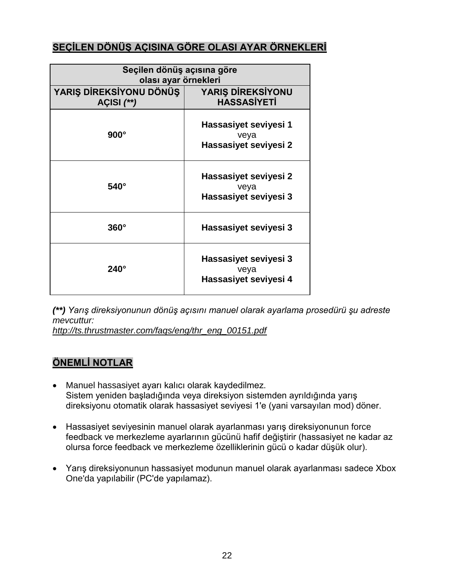## **SEÇİLEN DÖNÜŞ AÇISINA GÖRE OLASI AYAR ÖRNEKLERİ**

| Seçilen dönüş açısına göre<br>olası ayar örnekleri |                                                        |  |
|----------------------------------------------------|--------------------------------------------------------|--|
| YARIŞ DİREKSİYONU DÖNÜŞ<br>AÇISI $(**)$            | <b>YARIŞ DİREKSİYONU</b><br><b>HASSASİYETİ</b>         |  |
| $900^\circ$                                        | Hassasiyet seviyesi 1<br>veya<br>Hassasiyet seviyesi 2 |  |
| $540^\circ$                                        | Hassasiyet seviyesi 2<br>veya<br>Hassasiyet seviyesi 3 |  |
| $360^\circ$                                        | Hassasiyet seviyesi 3                                  |  |
| $240^\circ$                                        | Hassasiyet seviyesi 3<br>veya<br>Hassasiyet seviyesi 4 |  |

*(\*\*) Yarış direksiyonunun dönüş açısını manuel olarak ayarlama prosedürü şu adreste mevcuttur:*

*[http://ts.thrustmaster.com/faqs/eng/thr\\_eng\\_00151.pdf](http://ts.thrustmaster.com/faqs/eng/thr_eng_00151.pdf)*

#### **ÖNEMLİ NOTLAR**

- Manuel hassasiyet ayarı kalıcı olarak kaydedilmez. Sistem yeniden başladığında veya direksiyon sistemden ayrıldığında yarış direksiyonu otomatik olarak hassasiyet seviyesi 1'e (yani varsayılan mod) döner.
- Hassasiyet seviyesinin manuel olarak ayarlanması yarış direksiyonunun force feedback ve merkezleme ayarlarının gücünü hafif değiştirir (hassasiyet ne kadar az olursa force feedback ve merkezleme özelliklerinin gücü o kadar düşük olur).
- Yarış direksiyonunun hassasiyet modunun manuel olarak ayarlanması sadece Xbox One'da yapılabilir (PC'de yapılamaz).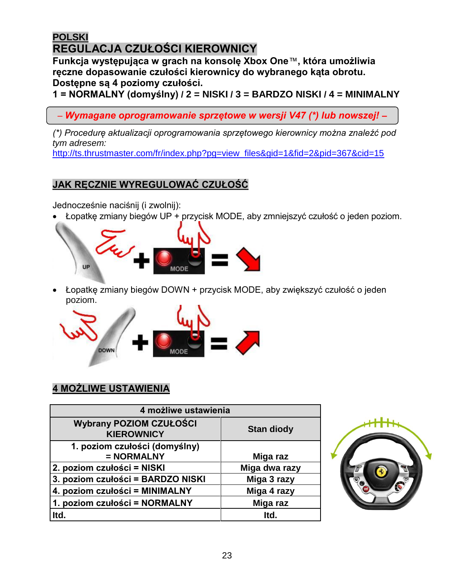# <span id="page-22-0"></span>**[POLSKI](#page-20-0) REGULACJA CZUŁOŚCI KIEROWNICY**

**Funkcja występująca w grach na konsolę Xbox One**™**, która umożliwia ręczne dopasowanie czułości kierownicy do wybranego kąta obrotu. Dostępne są 4 poziomy czułości.**

**1 = NORMALNY (domyślny) / 2 = NISKI / 3 = BARDZO NISKI / 4 = MINIMALNY**

– *Wymagane oprogramowanie sprzętowe w wersji V47 (\*) lub nowszej! –*

*(\*) Procedurę aktualizacji oprogramowania sprzętowego kierownicy można znaleźć pod tym adresem:*

[http://ts.thrustmaster.com/fr/index.php?pg=view\\_files&gid=1&fid=2&pid=367&cid=15](http://ts.thrustmaster.com/fr/index.php?pg=view_files&gid=1&fid=2&pid=367&cid=15)

# **JAK RĘCZNIE WYREGULOWAĆ CZUŁOŚĆ**

Jednocześnie naciśnij (i zwolnij):

Łopatkę zmiany biegów UP + przycisk MODE, aby zmniejszyć czułość o jeden poziom.



 Łopatkę zmiany biegów DOWN + przycisk MODE, aby zwiększyć czułość o jeden poziom.



# **4 MOŻLIWE USTAWIENIA**

| 4 możliwe ustawienia                                |                   |
|-----------------------------------------------------|-------------------|
| <b>Wybrany POZIOM CZUŁOŚCI</b><br><b>KIEROWNICY</b> | <b>Stan diody</b> |
| 1. poziom czułości (domyślny)<br>= NORMALNY         | Miga raz          |
| 2. poziom czułości = NISKI                          | Miga dwa razy     |
| 3. poziom czułości = BARDZO NISKI                   | Miga 3 razy       |
| 4. poziom czułości = MINIMALNY                      | Miga 4 razy       |
| 1. poziom czułości = NORMALNY                       | Miga raz          |
| Itd.                                                | Itd.              |

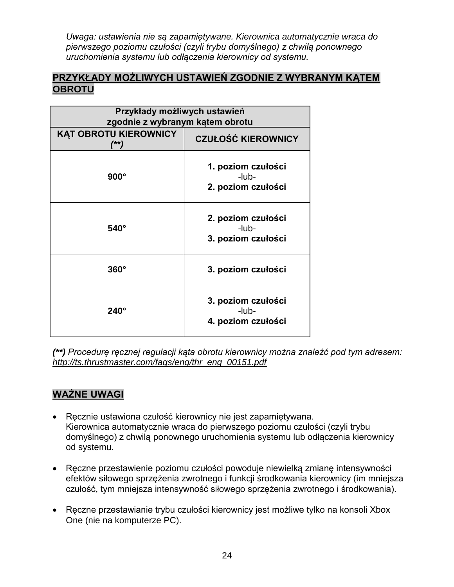*Uwaga: ustawienia nie są zapamiętywane. Kierownica automatycznie wraca do pierwszego poziomu czułości (czyli trybu domyślnego) z chwilą ponownego uruchomienia systemu lub odłączenia kierownicy od systemu.*

#### **PRZYKŁADY MOŻLIWYCH USTAWIEŃ ZGODNIE Z WYBRANYM KĄTEM OBROTU**

| Przykłady możliwych ustawień<br>zgodnie z wybranym kątem obrotu |                                                   |
|-----------------------------------------------------------------|---------------------------------------------------|
| <b>KĄT OBROTU KIEROWNICY</b><br>(**)                            | <b>CZUŁOŚĆ KIEROWNICY</b>                         |
| $900^\circ$                                                     | 1. poziom czułości<br>-lub-<br>2. poziom czułości |
| $540^\circ$                                                     | 2. poziom czułości<br>-lub-<br>3. poziom czułości |
| $360^\circ$                                                     | 3. poziom czułości                                |
| $240^\circ$                                                     | 3. poziom czułości<br>-lub-<br>4. poziom czułości |

*(\*\*) Procedurę ręcznej regulacji kąta obrotu kierownicy można znaleźć pod tym adresem: [http://ts.thrustmaster.com/faqs/eng/thr\\_eng\\_00151.pdf](http://ts.thrustmaster.com/faqs/eng/thr_eng_00151.pdf)*

# **WAŻNE UWAGI**

- Ręcznie ustawiona czułość kierownicy nie jest zapamiętywana. Kierownica automatycznie wraca do pierwszego poziomu czułości (czyli trybu domyślnego) z chwilą ponownego uruchomienia systemu lub odłączenia kierownicy od systemu.
- Ręczne przestawienie poziomu czułości powoduje niewielką zmianę intensywności efektów siłowego sprzężenia zwrotnego i funkcji środkowania kierownicy (im mniejsza czułość, tym mniejsza intensywność siłowego sprzężenia zwrotnego i środkowania).
- Ręczne przestawianie trybu czułości kierownicy jest możliwe tylko na konsoli Xbox One (nie na komputerze PC).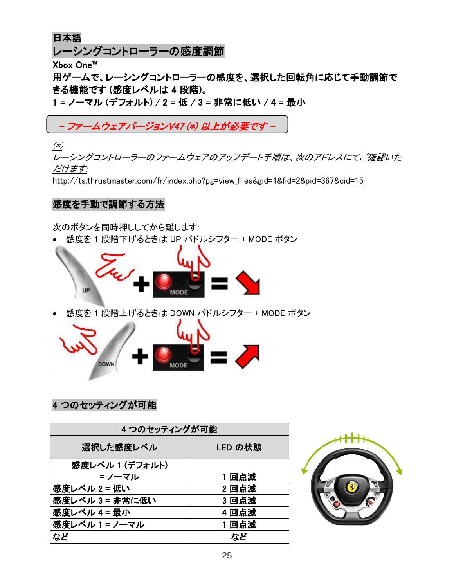<span id="page-24-0"></span>日本語

レーシングコントローラーの感度調節

Xbox One™

用ゲームで、レーシングコントローラーの感度を、選択した回転角に応じて手動調節で きる機能です (感度レベルは 4 段階)。

1 = ノーマル (デフォルト) / 2 = 低 / 3 = 非常に低い / 4 = 最小

# - ファームウェアバージョンV47 (\*) 以上が必要です -

(\*)

レーシングコントローラーのファームウェアのアップデート手順は、次のアドレスにてご確認いた だけます:

[http://ts.thrustmaster.com/fr/index.php?pg=view\\_files&gid=1&fid=2&pid=367&cid=15](http://ts.thrustmaster.com/fr/index.php?pg=view_files&gid=1&fid=2&pid=367&cid=15)

## 感度を手動で調節する方法

次のボタンを同時押ししてから離します:

感度を 1 段階下げるときは UP パドルシフター + MODE ボタン



感度を 1 段階上げるときは DOWN パドルシフター + MODE ボタン



# 4 つのセッティングが可能

| 4つのセッティングが可能    |         |
|-----------------|---------|
| 選択した感度レベル       | LED の状態 |
| 感度レベル 1 (デフォルト) |         |
| ゠ノーマル           | 1回点滅    |
| 感度レベル 2 = 低い    | 2回点滅    |
| 感度レベル 3 = 非常に低い | 3 回点滅   |
| 感度レベル 4 = 最小    | 4回点滅    |
| │感度レベル 1 = ノーマル | 1回点滅    |
| など              | など      |

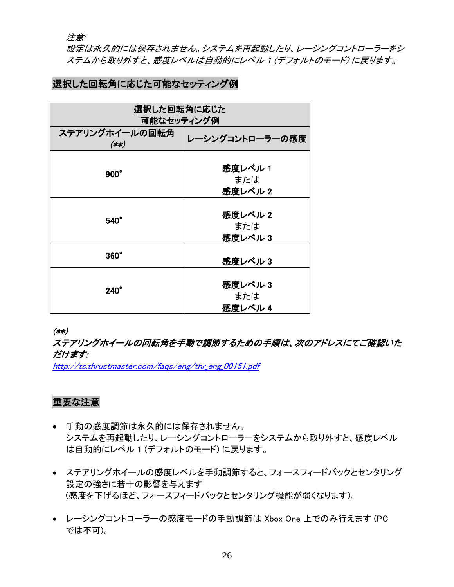注意:

設定は永久的には保存されません。システムを再起動したり、レーシングコントローラーをシ ステムから取り外すと、感度レベルは自動的にレベル 1 (デフォルトのモード) に戻ります。

## 選択した回転角に応じた可能なセッティング例

| 選択した回転角に応じた               |                          |
|---------------------------|--------------------------|
| 可能なセッティング例                |                          |
| ステアリングホイールの回転角<br>$(***)$ | レーシングコントローラーの感度          |
| $900^\circ$               | 感度レベル 1<br>または<br>感度レベル2 |
| $540^\circ$               | 感度レベル 2<br>または<br>感度レベル3 |
| $360^\circ$               | 感度レベル3                   |
| $240^\circ$               | 感度レベル3<br>または<br>感度レベル 4 |

(\*\*)

ステアリングホイールの回転角を手動で調節するための手順は、次のアドレスにてご確認いた だけます:

[http://ts.thrustmaster.com/faqs/eng/thr\\_eng\\_00151.pdf](http://ts.thrustmaster.com/faqs/eng/thr_eng_00151.pdf)

#### 重要な注意

- 手動の感度調節は永久的には保存されません。 システムを再起動したり、レーシングコントローラーをシステムから取り外すと、感度レベル は自動的にレベル 1 (デフォルトのモード) に戻ります。
- ステアリングホイールの感度レベルを手動調節すると、フォースフィードバックとセンタリング 設定の強さに若干の影響を与えます (感度を下げるほど、フォースフィードバックとセンタリング機能が弱くなります)。
- レーシングコントローラーの感度モードの手動調節は Xbox One 上でのみ行えます (PC では不可)。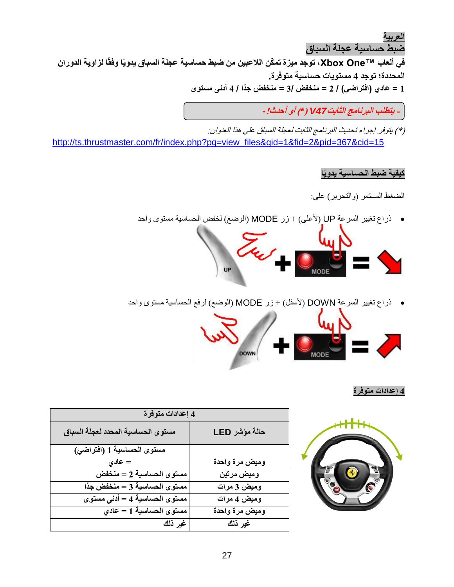<span id="page-26-0"></span>**[العربية](#page-20-0) ضبط حساسية عجلة السباق**

**في ألعاب TMOne Xbox، توجد ميزة تم ّكن الالعبين من ضبط حساسية عجلة السباق يدويًا وفقًا لزاوية الدوران المحددة؛ توجد 4 مستويات حساسية متوفرة. 1 = عادي )افتراضي( / 2 = منخفض 3/ = منخفض جًدا / 4 أدنى مستوى**

**- يتطلب البرنامج الثابت***47V* **)***\****( أو أحدث!***-*

)\*( يتوفر إجراء تحديث البرنامج الثابت لعجلة السباق على هذا العنوان: [http://ts.thrustmaster.com/fr/index.php?pg=view\\_files&gid=1&fid=2&pid=367&cid=15](http://ts.thrustmaster.com/fr/index.php?pg=view_files&gid=1&fid=2&pid=367&cid=15)

#### **كيفية ضبط الحساسية يدويًا**

الضغط المستمر (والتحرير) على:

ذراع تغيير السرعة UP( ألعلى( + زر MODE( الوضع( لخفض الحساسية مستوى واحد



ذراع تغيير السرعة DOWN( ألسفل( + زر MODE( الوضع( لرفع الحساسية مستوى واحد



#### **4 إعدادات متوفرة**



| 4 إعدادات متوفرة                   |                |
|------------------------------------|----------------|
| مستوى الحساسية المحدد لعجلة السباق | حالة مؤشر LED  |
| مستوى الحساسية 1 (افتراضى)         |                |
| $=$ عادي                           | وميض مرة واحدة |
| مستوى الحساسية 2 = منخفض           | وميض مرتين     |
| مستوى الحساسية 3 = منخفض جدًا      | وميض 3 مرات    |
| مستوى الحساسية 4 = أدنى مستوى      | وميض 4 مرات    |
| مستوى الحساسية 1 = عادى            | وميض مرة واحدة |
| غير ذلك                            | غير ذلك        |